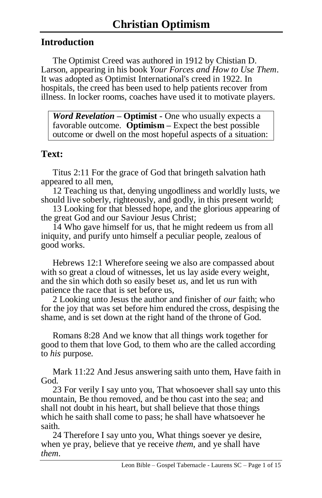# **Introduction**

The Optimist Creed was authored in 1912 by Chistian D. Larson, appearing in his book *Your Forces and How to Use Them*. It was adopted as Optimist International's creed in 1922. In hospitals, the creed has been used to help patients recover from illness. In locker rooms, coaches have used it to motivate players.

*Word Revelation –* **Optimist -** One who usually expects a favorable outcome. **Optimism –** Expect the best possible outcome or dwell on the most hopeful aspects of a situation:

# **Text:**

Titus 2:11 For the grace of God that bringeth salvation hath appeared to all men,

12 Teaching us that, denying ungodliness and worldly lusts, we should live soberly, righteously, and godly, in this present world;

13 Looking for that blessed hope, and the glorious appearing of the great God and our Saviour Jesus Christ;

14 Who gave himself for us, that he might redeem us from all iniquity, and purify unto himself a peculiar people, zealous of good works.

Hebrews 12:1 Wherefore seeing we also are compassed about with so great a cloud of witnesses, let us lay aside every weight, and the sin which doth so easily beset *us*, and let us run with patience the race that is set before us,

2 Looking unto Jesus the author and finisher of *our* faith; who for the joy that was set before him endured the cross, despising the shame, and is set down at the right hand of the throne of God.

Romans 8:28 And we know that all things work together for good to them that love God, to them who are the called according to *his* purpose.

Mark 11:22 And Jesus answering saith unto them, Have faith in God.

23 For verily I say unto you, That whosoever shall say unto this mountain, Be thou removed, and be thou cast into the sea; and shall not doubt in his heart, but shall believe that those things which he saith shall come to pass; he shall have whatsoever he saith.

24 Therefore I say unto you, What things soever ye desire, when ye pray, believe that ye receive *them*, and ye shall have *them*.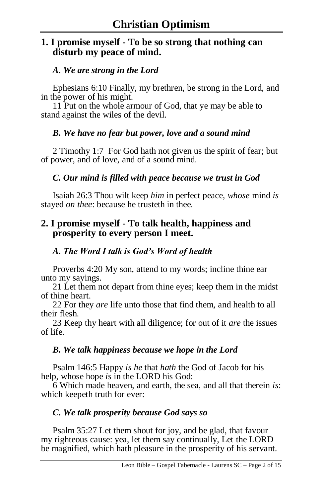# **1. I promise myself - To be so strong that nothing can disturb my peace of mind.**

### *A. We are strong in the Lord*

Ephesians 6:10 Finally, my brethren, be strong in the Lord, and in the power of his might.

11 Put on the whole armour of God, that ye may be able to stand against the wiles of the devil.

### *B. We have no fear but power, love and a sound mind*

2 Timothy 1:7 For God hath not given us the spirit of fear; but of power, and of love, and of a sound mind.

## *C. Our mind is filled with peace because we trust in God*

Isaiah 26:3 Thou wilt keep *him* in perfect peace, *whose* mind *is* stayed *on thee*: because he trusteth in thee.

# **2. I promise myself - To talk health, happiness and prosperity to every person I meet.**

### *A. The Word I talk is God's Word of health*

Proverbs 4:20 My son, attend to my words; incline thine ear unto my sayings.

21 Let them not depart from thine eyes; keep them in the midst of thine heart.

22 For they *are* life unto those that find them, and health to all their flesh.

23 Keep thy heart with all diligence; for out of it *are* the issues of life.

### *B. We talk happiness because we hope in the Lord*

Psalm 146:5 Happy *is he* that *hath* the God of Jacob for his help, whose hope *is* in the LORD his God:

6 Which made heaven, and earth, the sea, and all that therein *is*: which keepeth truth for ever:

# *C. We talk prosperity because God says so*

Psalm 35:27 Let them shout for joy, and be glad, that favour my righteous cause: yea, let them say continually, Let the LORD be magnified, which hath pleasure in the prosperity of his servant.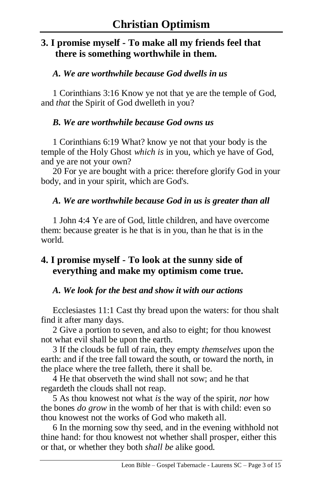# **3. I promise myself - To make all my friends feel that there is something worthwhile in them.**

### *A. We are worthwhile because God dwells in us*

1 Corinthians 3:16 Know ye not that ye are the temple of God, and *that* the Spirit of God dwelleth in you?

### *B. We are worthwhile because God owns us*

1 Corinthians 6:19 What? know ye not that your body is the temple of the Holy Ghost *which is* in you, which ye have of God, and ye are not your own?

20 For ye are bought with a price: therefore glorify God in your body, and in your spirit, which are God's.

### *A. We are worthwhile because God in us is greater than all*

1 John 4:4 Ye are of God, little children, and have overcome them: because greater is he that is in you, than he that is in the world.

# **4. I promise myself - To look at the sunny side of everything and make my optimism come true.**

### *A. We look for the best and show it with our actions*

Ecclesiastes 11:1 Cast thy bread upon the waters: for thou shalt find it after many days.

2 Give a portion to seven, and also to eight; for thou knowest not what evil shall be upon the earth.

3 If the clouds be full of rain, they empty *themselves* upon the earth: and if the tree fall toward the south, or toward the north, in the place where the tree falleth, there it shall be.

4 He that observeth the wind shall not sow; and he that regardeth the clouds shall not reap.

5 As thou knowest not what *is* the way of the spirit, *nor* how the bones *do grow* in the womb of her that is with child: even so thou knowest not the works of God who maketh all.

6 In the morning sow thy seed, and in the evening withhold not thine hand: for thou knowest not whether shall prosper, either this or that, or whether they both *shall be* alike good.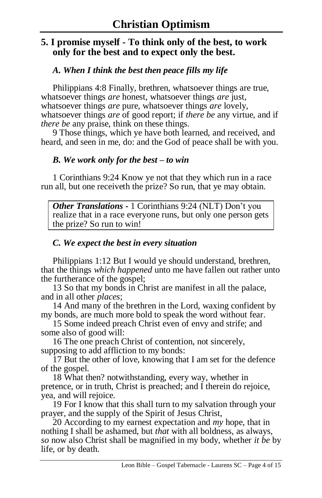# **5. I promise myself - To think only of the best, to work only for the best and to expect only the best.**

### *A. When I think the best then peace fills my life*

Philippians 4:8 Finally, brethren, whatsoever things are true, whatsoever things *are* honest, whatsoever things *are* just, whatsoever things *are* pure, whatsoever things *are* lovely, whatsoever things *are* of good report; if *there be* any virtue, and if *there be* any praise, think on these things.

9 Those things, which ye have both learned, and received, and heard, and seen in me, do: and the God of peace shall be with you.

#### *B. We work only for the best – to win*

1 Corinthians 9:24 Know ye not that they which run in a race run all, but one receiveth the prize? So run, that ye may obtain.

*Other Translations -* 1 Corinthians 9:24 (NLT) Don't you realize that in a race everyone runs, but only one person gets the prize? So run to win!

### *C. We expect the best in every situation*

Philippians 1:12 But I would ye should understand, brethren, that the things *which happened* unto me have fallen out rather unto the furtherance of the gospel;

13 So that my bonds in Christ are manifest in all the palace, and in all other *places*;

14 And many of the brethren in the Lord, waxing confident by my bonds, are much more bold to speak the word without fear.

15 Some indeed preach Christ even of envy and strife; and some also of good will:

16 The one preach Christ of contention, not sincerely, supposing to add affliction to my bonds:

17 But the other of love, knowing that I am set for the defence of the gospel.

18 What then? notwithstanding, every way, whether in pretence, or in truth, Christ is preached; and I therein do rejoice, yea, and will rejoice.

19 For I know that this shall turn to my salvation through your prayer, and the supply of the Spirit of Jesus Christ,

20 According to my earnest expectation and *my* hope, that in nothing I shall be ashamed, but *that* with all boldness, as always, *so* now also Christ shall be magnified in my body, whether *it be* by life, or by death.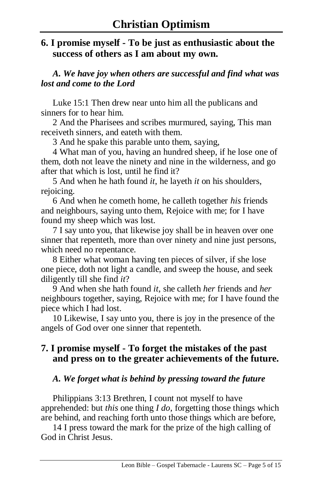# **6. I promise myself - To be just as enthusiastic about the success of others as I am about my own.**

*A. We have joy when others are successful and find what was lost and come to the Lord*

Luke 15:1 Then drew near unto him all the publicans and sinners for to hear him.

2 And the Pharisees and scribes murmured, saying, This man receiveth sinners, and eateth with them.

3 And he spake this parable unto them, saying,

4 What man of you, having an hundred sheep, if he lose one of them, doth not leave the ninety and nine in the wilderness, and go after that which is lost, until he find it?

5 And when he hath found *it*, he layeth *it* on his shoulders, rejoicing.

6 And when he cometh home, he calleth together *his* friends and neighbours, saying unto them, Rejoice with me; for I have found my sheep which was lost.

7 I say unto you, that likewise joy shall be in heaven over one sinner that repenteth, more than over ninety and nine just persons, which need no repentance.

8 Either what woman having ten pieces of silver, if she lose one piece, doth not light a candle, and sweep the house, and seek diligently till she find *it*?

9 And when she hath found *it*, she calleth *her* friends and *her* neighbours together, saying, Rejoice with me; for I have found the piece which I had lost.

10 Likewise, I say unto you, there is joy in the presence of the angels of God over one sinner that repenteth.

# **7. I promise myself - To forget the mistakes of the past and press on to the greater achievements of the future.**

### *A. We forget what is behind by pressing toward the future*

Philippians 3:13 Brethren, I count not myself to have apprehended: but *this* one thing *I do*, forgetting those things which are behind, and reaching forth unto those things which are before,

14 I press toward the mark for the prize of the high calling of God in Christ Jesus.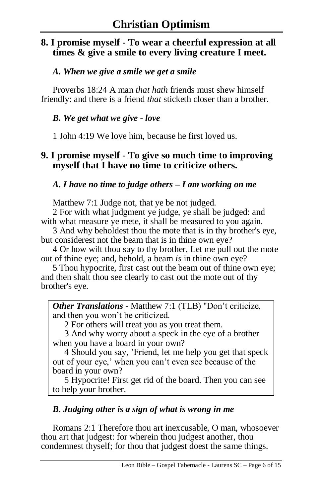# **8. I promise myself - To wear a cheerful expression at all times & give a smile to every living creature I meet.**

#### *A. When we give a smile we get a smile*

Proverbs 18:24 A man *that hath* friends must shew himself friendly: and there is a friend *that* sticketh closer than a brother.

#### *B. We get what we give - love*

1 John 4:19 We love him, because he first loved us.

### **9. I promise myself - To give so much time to improving myself that I have no time to criticize others.**

*A. I have no time to judge others – I am working on me*

Matthew 7:1 Judge not, that ye be not judged.

2 For with what judgment ye judge, ye shall be judged: and with what measure ye mete, it shall be measured to you again.

3 And why beholdest thou the mote that is in thy brother's eye, but considerest not the beam that is in thine own eye?

4 Or how wilt thou say to thy brother, Let me pull out the mote out of thine eye; and, behold, a beam *is* in thine own eye?

5 Thou hypocrite, first cast out the beam out of thine own eye; and then shalt thou see clearly to cast out the mote out of thy brother's eye.

*Other Translations -* Matthew 7:1 (TLB) "Don't criticize, and then you won't be criticized.

2 For others will treat you as you treat them.

3 And why worry about a speck in the eye of a brother when you have a board in your own?

4 Should you say, 'Friend, let me help you get that speck out of your eye,' when you can't even see because of the board in your own?

5 Hypocrite! First get rid of the board. Then you can see to help your brother.

### *B. Judging other is a sign of what is wrong in me*

Romans 2:1 Therefore thou art inexcusable, O man, whosoever thou art that judgest: for wherein thou judgest another, thou condemnest thyself; for thou that judgest doest the same things.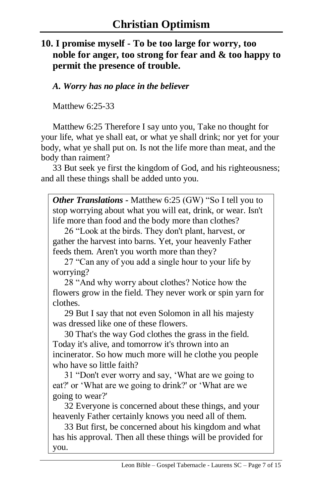# **10. I promise myself - To be too large for worry, too noble for anger, too strong for fear and & too happy to permit the presence of trouble.**

*A. Worry has no place in the believer*

Matthew 6:25-33

Matthew 6:25 Therefore I say unto you, Take no thought for your life, what ye shall eat, or what ye shall drink; nor yet for your body, what ye shall put on. Is not the life more than meat, and the body than raiment?

33 But seek ye first the kingdom of God, and his righteousness; and all these things shall be added unto you.

*Other Translations -* Matthew 6:25 (GW) "So I tell you to stop worrying about what you will eat, drink, or wear. Isn't life more than food and the body more than clothes?

26 "Look at the birds. They don't plant, harvest, or gather the harvest into barns. Yet, your heavenly Father feeds them. Aren't you worth more than they?

27 "Can any of you add a single hour to your life by worrying?

28 "And why worry about clothes? Notice how the flowers grow in the field. They never work or spin yarn for clothes.

29 But I say that not even Solomon in all his majesty was dressed like one of these flowers.

30 That's the way God clothes the grass in the field. Today it's alive, and tomorrow it's thrown into an incinerator. So how much more will he clothe you people who have so little faith?

31 "Don't ever worry and say, 'What are we going to eat?' or 'What are we going to drink?' or 'What are we going to wear?'

32 Everyone is concerned about these things, and your heavenly Father certainly knows you need all of them.

33 But first, be concerned about his kingdom and what has his approval. Then all these things will be provided for you.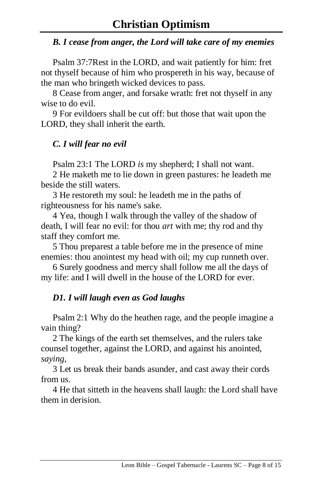### *B. I cease from anger, the Lord will take care of my enemies*

Psalm 37:7Rest in the LORD, and wait patiently for him: fret not thyself because of him who prospereth in his way, because of the man who bringeth wicked devices to pass.

8 Cease from anger, and forsake wrath: fret not thyself in any wise to do evil.

9 For evildoers shall be cut off: but those that wait upon the LORD, they shall inherit the earth.

# *C. I will fear no evil*

Psalm 23:1 The LORD *is* my shepherd; I shall not want.

2 He maketh me to lie down in green pastures: he leadeth me beside the still waters.

3 He restoreth my soul: he leadeth me in the paths of righteousness for his name's sake.

4 Yea, though I walk through the valley of the shadow of death, I will fear no evil: for thou *art* with me; thy rod and thy staff they comfort me.

5 Thou preparest a table before me in the presence of mine enemies: thou anointest my head with oil; my cup runneth over.

6 Surely goodness and mercy shall follow me all the days of my life: and I will dwell in the house of the LORD for ever.

# *D1. I will laugh even as God laughs*

Psalm 2:1 Why do the heathen rage, and the people imagine a vain thing?

2 The kings of the earth set themselves, and the rulers take counsel together, against the LORD, and against his anointed, *saying*,

3 Let us break their bands asunder, and cast away their cords from us.

4 He that sitteth in the heavens shall laugh: the Lord shall have them in derision.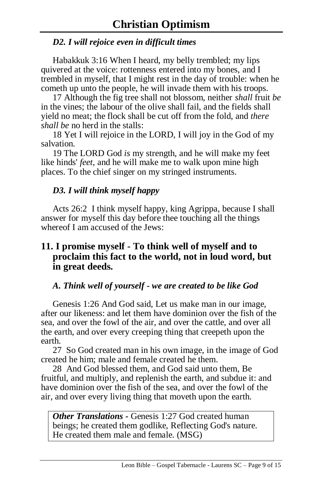### *D2. I will rejoice even in difficult times*

Habakkuk 3:16 When I heard, my belly trembled; my lips quivered at the voice: rottenness entered into my bones, and I trembled in myself, that I might rest in the day of trouble: when he cometh up unto the people, he will invade them with his troops.

17 Although the fig tree shall not blossom, neither *shall* fruit *be* in the vines; the labour of the olive shall fail, and the fields shall yield no meat; the flock shall be cut off from the fold, and *there shall be* no herd in the stalls:

18 Yet I will rejoice in the LORD, I will joy in the God of my salvation.

19 The LORD God *is* my strength, and he will make my feet like hinds' *feet*, and he will make me to walk upon mine high places. To the chief singer on my stringed instruments.

## *D3. I will think myself happy*

Acts 26:2 I think myself happy, king Agrippa, because I shall answer for myself this day before thee touching all the things whereof I am accused of the Jews:

## **11. I promise myself - To think well of myself and to proclaim this fact to the world, not in loud word, but in great deeds.**

### *A. Think well of yourself - we are created to be like God*

Genesis 1:26 And God said, Let us make man in our image, after our likeness: and let them have dominion over the fish of the sea, and over the fowl of the air, and over the cattle, and over all the earth, and over every creeping thing that creepeth upon the earth.

27 So God created man in his own image, in the image of God created he him; male and female created he them.

28 And God blessed them, and God said unto them, Be fruitful, and multiply, and replenish the earth, and subdue it: and have dominion over the fish of the sea, and over the fowl of the air, and over every living thing that moveth upon the earth.

*Other Translations -* Genesis 1:27 God created human beings; he created them godlike, Reflecting God's nature. He created them male and female. (MSG)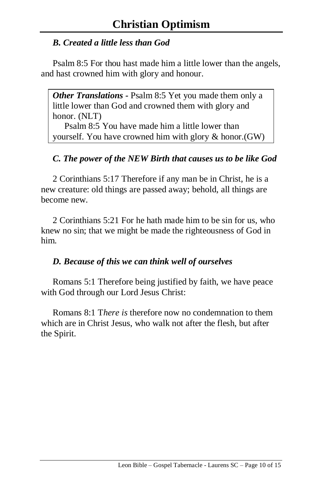# *B. Created a little less than God*

Psalm 8:5 For thou hast made him a little lower than the angels, and hast crowned him with glory and honour.

*Other Translations -* Psalm 8:5 Yet you made them only a little lower than God and crowned them with glory and honor. (NLT)

Psalm 8:5 You have made him a little lower than yourself. You have crowned him with glory & honor.(GW)

# *C. The power of the NEW Birth that causes us to be like God*

2 Corinthians 5:17 Therefore if any man be in Christ, he is a new creature: old things are passed away; behold, all things are become new.

2 Corinthians 5:21 For he hath made him to be sin for us, who knew no sin; that we might be made the righteousness of God in him.

# *D. Because of this we can think well of ourselves*

Romans 5:1 Therefore being justified by faith, we have peace with God through our Lord Jesus Christ:

Romans 8:1 T*here is* therefore now no condemnation to them which are in Christ Jesus, who walk not after the flesh, but after the Spirit.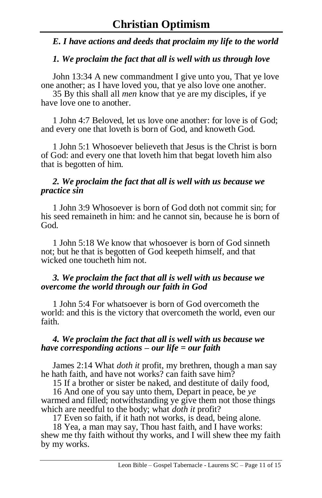#### *E. I have actions and deeds that proclaim my life to the world*

#### *1. We proclaim the fact that all is well with us through love*

John 13:34 A new commandment I give unto you, That ye love one another; as I have loved you, that ye also love one another.

35 By this shall all *men* know that ye are my disciples, if ye have love one to another.

1 John 4:7 Beloved, let us love one another: for love is of God; and every one that loveth is born of God, and knoweth God.

1 John 5:1 Whosoever believeth that Jesus is the Christ is born of God: and every one that loveth him that begat loveth him also that is begotten of him.

#### *2. We proclaim the fact that all is well with us because we practice sin*

1 John 3:9 Whosoever is born of God doth not commit sin; for his seed remaineth in him: and he cannot sin, because he is born of God.

1 John 5:18 We know that whosoever is born of God sinneth not; but he that is begotten of God keepeth himself, and that wicked one toucheth him not.

#### *3. We proclaim the fact that all is well with us because we overcome the world through our faith in God*

1 John 5:4 For whatsoever is born of God overcometh the world: and this is the victory that overcometh the world, even our faith.

#### *4. We proclaim the fact that all is well with us because we have corresponding actions – our life = our faith*

James 2:14 What *doth it* profit, my brethren, though a man say he hath faith, and have not works? can faith save him?

15 If a brother or sister be naked, and destitute of daily food,

16 And one of you say unto them, Depart in peace, be *ye* warmed and filled; notwithstanding ye give them not those things which are needful to the body; what *doth it* profit?

17 Even so faith, if it hath not works, is dead, being alone.

18 Yea, a man may say, Thou hast faith, and I have works: shew me thy faith without thy works, and I will shew thee my faith by my works.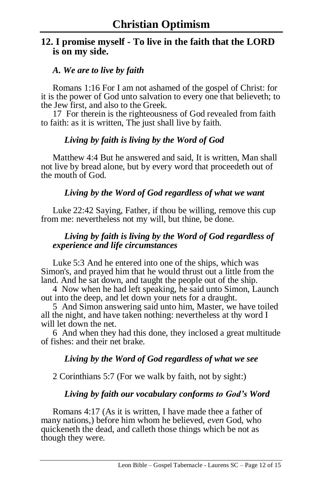## **12. I promise myself - To live in the faith that the LORD is on my side.**

#### *A. We are to live by faith*

Romans 1:16 For I am not ashamed of the gospel of Christ: for it is the power of God unto salvation to every one that believeth; to the Jew first, and also to the Greek.

17 For therein is the righteousness of God revealed from faith to faith: as it is written, The just shall live by faith.

#### *Living by faith is living by the Word of God*

Matthew 4:4 But he answered and said, It is written, Man shall not live by bread alone, but by every word that proceedeth out of the mouth of God.

#### *Living by the Word of God regardless of what we want*

Luke 22:42 Saying, Father, if thou be willing, remove this cup from me: nevertheless not my will, but thine, be done.

#### *Living by faith is living by the Word of God regardless of experience and life circumstances*

Luke 5:3 And he entered into one of the ships, which was Simon's, and prayed him that he would thrust out a little from the land. And he sat down, and taught the people out of the ship.

4 Now when he had left speaking, he said unto Simon, Launch out into the deep, and let down your nets for a draught.

5 And Simon answering said unto him, Master, we have toiled all the night, and have taken nothing: nevertheless at thy word I will let down the net.

6 And when they had this done, they inclosed a great multitude of fishes: and their net brake.

#### *Living by the Word of God regardless of what we see*

2 Corinthians 5:7 (For we walk by faith, not by sight:)

### *Living by faith our vocabulary conforms to God's Word*

Romans 4:17 (As it is written, I have made thee a father of many nations,) before him whom he believed, *even* God, who quickeneth the dead, and calleth those things which be not as though they were.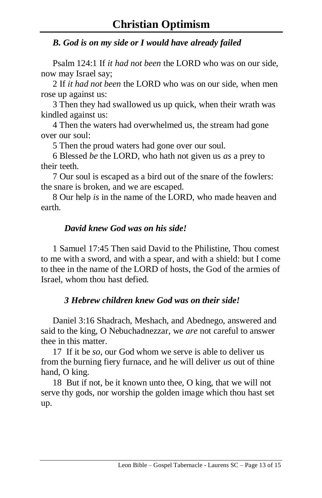# *B. God is on my side or I would have already failed*

Psalm 124:1 If *it had not been* the LORD who was on our side, now may Israel say;

2 If *it had not been* the LORD who was on our side, when men rose up against us:

3 Then they had swallowed us up quick, when their wrath was kindled against us:

4 Then the waters had overwhelmed us, the stream had gone over our soul:

5 Then the proud waters had gone over our soul.

6 Blessed *be* the LORD, who hath not given us *as* a prey to their teeth.

7 Our soul is escaped as a bird out of the snare of the fowlers: the snare is broken, and we are escaped.

8 Our help *is* in the name of the LORD, who made heaven and earth.

## *David knew God was on his side!*

1 Samuel 17:45 Then said David to the Philistine, Thou comest to me with a sword, and with a spear, and with a shield: but I come to thee in the name of the LORD of hosts, the God of the armies of Israel, whom thou hast defied.

# *3 Hebrew children knew God was on their side!*

Daniel 3:16 Shadrach, Meshach, and Abednego, answered and said to the king, O Nebuchadnezzar, we *are* not careful to answer thee in this matter.

17 If it be *so*, our God whom we serve is able to deliver us from the burning fiery furnace, and he will deliver *us* out of thine hand, O king.

18 But if not, be it known unto thee, O king, that we will not serve thy gods, nor worship the golden image which thou hast set up.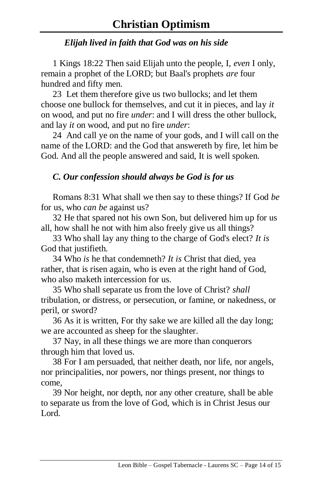# *Elijah lived in faith that God was on his side*

1 Kings 18:22 Then said Elijah unto the people, I, *even* I only, remain a prophet of the LORD; but Baal's prophets *are* four hundred and fifty men.

23 Let them therefore give us two bullocks; and let them choose one bullock for themselves, and cut it in pieces, and lay *it* on wood, and put no fire *under*: and I will dress the other bullock, and lay *it* on wood, and put no fire *under*:

24 And call ye on the name of your gods, and I will call on the name of the LORD: and the God that answereth by fire, let him be God. And all the people answered and said, It is well spoken.

## *C. Our confession should always be God is for us*

Romans 8:31 What shall we then say to these things? If God *be* for us, who *can be* against us?

32 He that spared not his own Son, but delivered him up for us all, how shall he not with him also freely give us all things?

33 Who shall lay any thing to the charge of God's elect? *It is* God that justifieth.

34 Who *is* he that condemneth? *It is* Christ that died, yea rather, that is risen again, who is even at the right hand of God, who also maketh intercession for us.

35 Who shall separate us from the love of Christ? *shall* tribulation, or distress, or persecution, or famine, or nakedness, or peril, or sword?

36 As it is written, For thy sake we are killed all the day long; we are accounted as sheep for the slaughter.

37 Nay, in all these things we are more than conquerors through him that loved us.

38 For I am persuaded, that neither death, nor life, nor angels, nor principalities, nor powers, nor things present, nor things to come,

39 Nor height, nor depth, nor any other creature, shall be able to separate us from the love of God, which is in Christ Jesus our Lord.